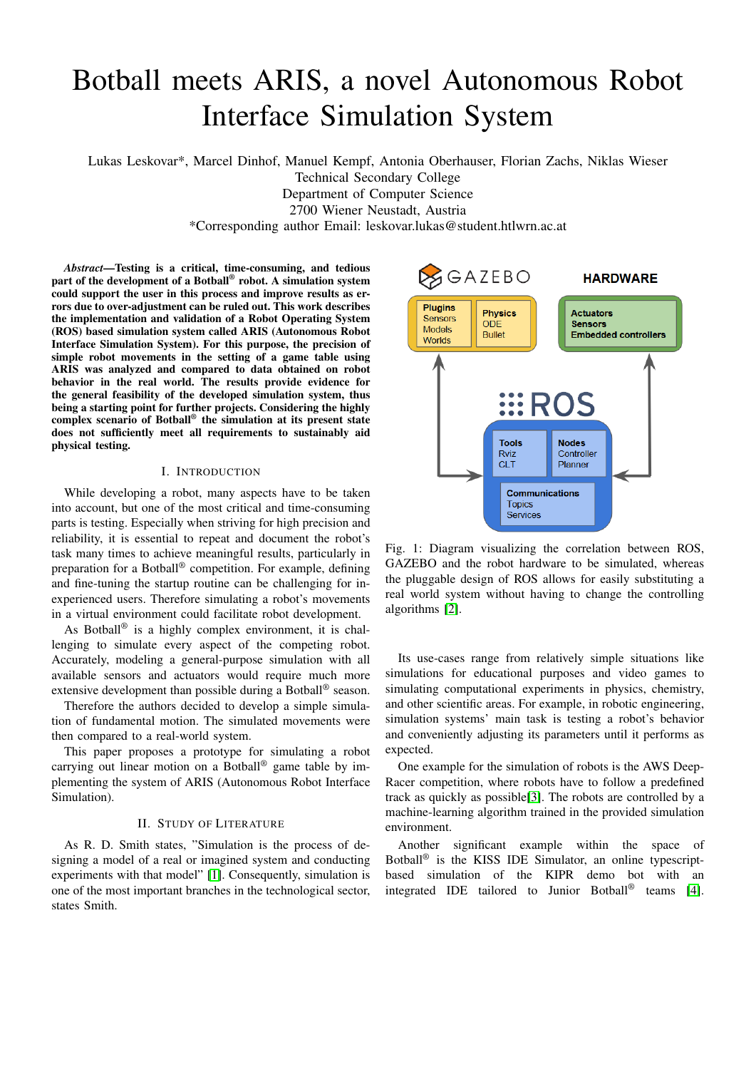# Botball meets ARIS, a novel Autonomous Robot Interface Simulation System

Lukas Leskovar\*, Marcel Dinhof, Manuel Kempf, Antonia Oberhauser, Florian Zachs, Niklas Wieser

Technical Secondary College

Department of Computer Science

2700 Wiener Neustadt, Austria

\*Corresponding author Email: leskovar.lukas@student.htlwrn.ac.at

*Abstract*—Testing is a critical, time-consuming, and tedious part of the development of a Botball® robot. A simulation system could support the user in this process and improve results as errors due to over-adjustment can be ruled out. This work describes the implementation and validation of a Robot Operating System (ROS) based simulation system called ARIS (Autonomous Robot Interface Simulation System). For this purpose, the precision of simple robot movements in the setting of a game table using ARIS was analyzed and compared to data obtained on robot behavior in the real world. The results provide evidence for the general feasibility of the developed simulation system, thus being a starting point for further projects. Considering the highly complex scenario of Botball® the simulation at its present state does not sufficiently meet all requirements to sustainably aid physical testing.

# I. INTRODUCTION

While developing a robot, many aspects have to be taken into account, but one of the most critical and time-consuming parts is testing. Especially when striving for high precision and reliability, it is essential to repeat and document the robot's task many times to achieve meaningful results, particularly in preparation for a Botball® competition. For example, defining and fine-tuning the startup routine can be challenging for inexperienced users. Therefore simulating a robot's movements in a virtual environment could facilitate robot development.

As Botball® is a highly complex environment, it is challenging to simulate every aspect of the competing robot. Accurately, modeling a general-purpose simulation with all available sensors and actuators would require much more extensive development than possible during a Botball® season.

Therefore the authors decided to develop a simple simulation of fundamental motion. The simulated movements were then compared to a real-world system.

This paper proposes a prototype for simulating a robot carrying out linear motion on a Botball® game table by implementing the system of ARIS (Autonomous Robot Interface Simulation).

## II. STUDY OF LITERATURE

As R. D. Smith states, "Simulation is the process of designing a model of a real or imagined system and conducting experiments with that model" [\[1\]](#page-4-0). Consequently, simulation is one of the most important branches in the technological sector, states Smith.

<span id="page-0-0"></span>

Fig. 1: Diagram visualizing the correlation between ROS, GAZEBO and the robot hardware to be simulated, whereas the pluggable design of ROS allows for easily substituting a real world system without having to change the controlling algorithms [\[2\]](#page-4-1).

Its use-cases range from relatively simple situations like simulations for educational purposes and video games to simulating computational experiments in physics, chemistry, and other scientific areas. For example, in robotic engineering, simulation systems' main task is testing a robot's behavior and conveniently adjusting its parameters until it performs as expected.

One example for the simulation of robots is the AWS Deep-Racer competition, where robots have to follow a predefined track as quickly as possible[\[3\]](#page-4-2). The robots are controlled by a machine-learning algorithm trained in the provided simulation environment.

Another significant example within the space of Botball® is the KISS IDE Simulator, an online typescriptbased simulation of the KIPR demo bot with an integrated IDE tailored to Junior Botball® teams [\[4\]](#page-4-3).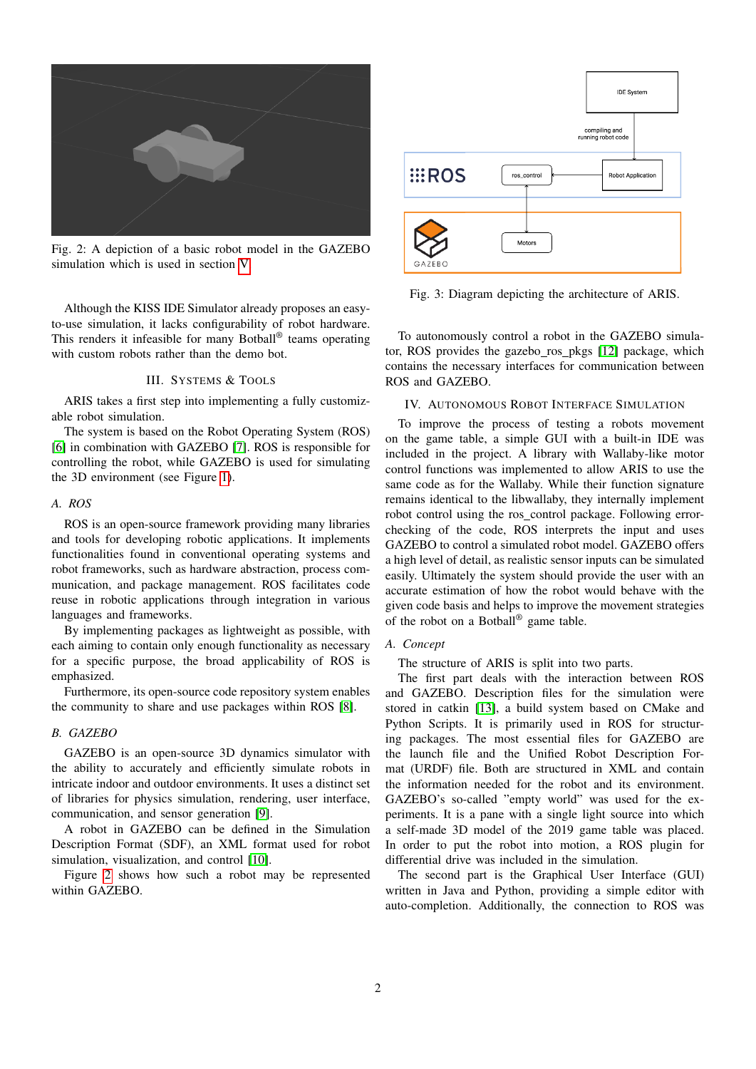<span id="page-1-0"></span>

Fig. 2: A depiction of a basic robot model in the GAZEBO simulation which is used in section [V.](#page-2-0)

Although the KISS IDE Simulator already proposes an easyto-use simulation, it lacks configurability of robot hardware. This renders it infeasible for many Botball® teams operating with custom robots rather than the demo bot.

# III. SYSTEMS & TOOLS

ARIS takes a first step into implementing a fully customizable robot simulation.

The system is based on the Robot Operating System (ROS) [\[6\]](#page-4-4) in combination with GAZEBO [\[7\]](#page-4-5). ROS is responsible for controlling the robot, while GAZEBO is used for simulating the 3D environment (see Figure [1\)](#page-0-0).

#### *A. ROS*

ROS is an open-source framework providing many libraries and tools for developing robotic applications. It implements functionalities found in conventional operating systems and robot frameworks, such as hardware abstraction, process communication, and package management. ROS facilitates code reuse in robotic applications through integration in various languages and frameworks.

By implementing packages as lightweight as possible, with each aiming to contain only enough functionality as necessary for a specific purpose, the broad applicability of ROS is emphasized.

Furthermore, its open-source code repository system enables the community to share and use packages within ROS [\[8\]](#page-4-6).

# *B. GAZEBO*

GAZEBO is an open-source 3D dynamics simulator with the ability to accurately and efficiently simulate robots in intricate indoor and outdoor environments. It uses a distinct set of libraries for physics simulation, rendering, user interface, communication, and sensor generation [\[9\]](#page-4-7).

A robot in GAZEBO can be defined in the Simulation Description Format (SDF), an XML format used for robot simulation, visualization, and control [\[10\]](#page-4-8).

Figure [2](#page-1-0) shows how such a robot may be represented within GAZEBO.

<span id="page-1-1"></span>

Fig. 3: Diagram depicting the architecture of ARIS.

To autonomously control a robot in the GAZEBO simulator, ROS provides the gazebo ros pkgs [\[12\]](#page-4-9) package, which contains the necessary interfaces for communication between ROS and GAZEBO.

### IV. AUTONOMOUS ROBOT INTERFACE SIMULATION

To improve the process of testing a robots movement on the game table, a simple GUI with a built-in IDE was included in the project. A library with Wallaby-like motor control functions was implemented to allow ARIS to use the same code as for the Wallaby. While their function signature remains identical to the libwallaby, they internally implement robot control using the ros\_control package. Following errorchecking of the code, ROS interprets the input and uses GAZEBO to control a simulated robot model. GAZEBO offers a high level of detail, as realistic sensor inputs can be simulated easily. Ultimately the system should provide the user with an accurate estimation of how the robot would behave with the given code basis and helps to improve the movement strategies of the robot on a Botball® game table.

# *A. Concept*

The structure of ARIS is split into two parts.

The first part deals with the interaction between ROS and GAZEBO. Description files for the simulation were stored in catkin [\[13\]](#page-4-10), a build system based on CMake and Python Scripts. It is primarily used in ROS for structuring packages. The most essential files for GAZEBO are the launch file and the Unified Robot Description Format (URDF) file. Both are structured in XML and contain the information needed for the robot and its environment. GAZEBO's so-called "empty world" was used for the experiments. It is a pane with a single light source into which a self-made 3D model of the 2019 game table was placed. In order to put the robot into motion, a ROS plugin for differential drive was included in the simulation.

The second part is the Graphical User Interface (GUI) written in Java and Python, providing a simple editor with auto-completion. Additionally, the connection to ROS was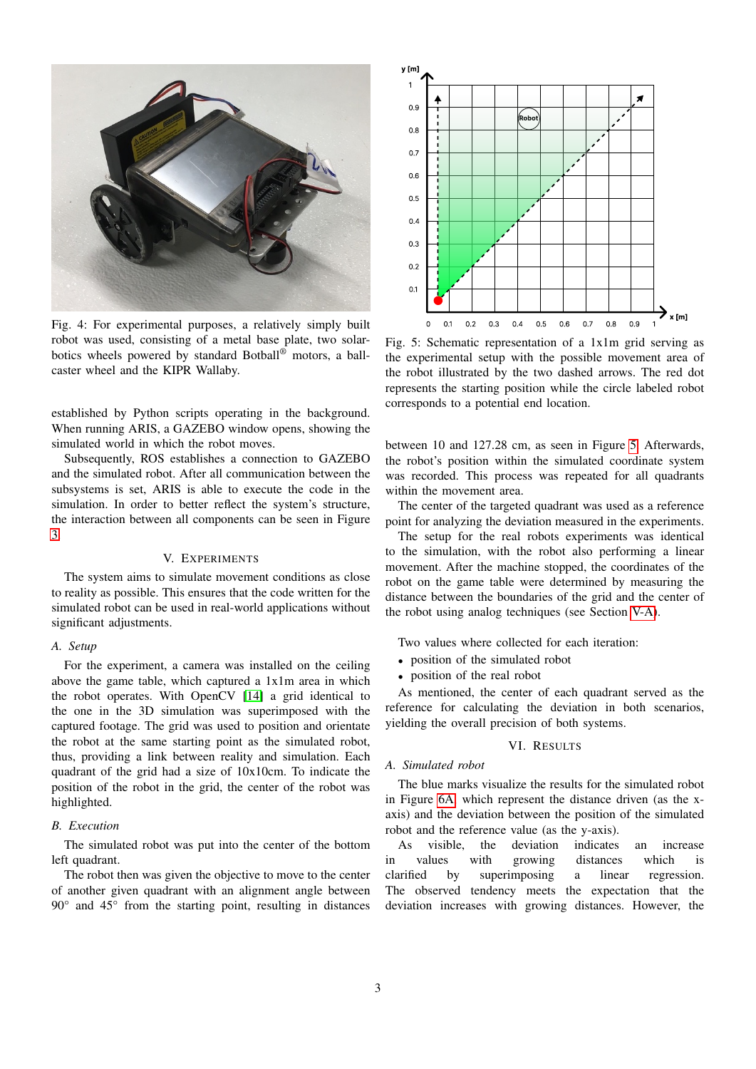

Fig. 4: For experimental purposes, a relatively simply built robot was used, consisting of a metal base plate, two solarbotics wheels powered by standard Botball® motors, a ballcaster wheel and the KIPR Wallaby.

established by Python scripts operating in the background. When running ARIS, a GAZEBO window opens, showing the simulated world in which the robot moves.

Subsequently, ROS establishes a connection to GAZEBO and the simulated robot. After all communication between the subsystems is set, ARIS is able to execute the code in the simulation. In order to better reflect the system's structure, the interaction between all components can be seen in Figure [3.](#page-1-1)

#### V. EXPERIMENTS

<span id="page-2-0"></span>The system aims to simulate movement conditions as close to reality as possible. This ensures that the code written for the simulated robot can be used in real-world applications without significant adjustments.

# <span id="page-2-2"></span>*A. Setup*

For the experiment, a camera was installed on the ceiling above the game table, which captured a 1x1m area in which the robot operates. With OpenCV [\[14\]](#page-4-11) a grid identical to the one in the 3D simulation was superimposed with the captured footage. The grid was used to position and orientate the robot at the same starting point as the simulated robot, thus, providing a link between reality and simulation. Each quadrant of the grid had a size of 10x10cm. To indicate the position of the robot in the grid, the center of the robot was highlighted.

# <span id="page-2-3"></span>*B. Execution*

The simulated robot was put into the center of the bottom left quadrant.

The robot then was given the objective to move to the center of another given quadrant with an alignment angle between 90° and 45° from the starting point, resulting in distances

<span id="page-2-1"></span>

Fig. 5: Schematic representation of a 1x1m grid serving as the experimental setup with the possible movement area of the robot illustrated by the two dashed arrows. The red dot represents the starting position while the circle labeled robot corresponds to a potential end location.

between 10 and 127.28 cm, as seen in Figure [5.](#page-2-1) Afterwards, the robot's position within the simulated coordinate system was recorded. This process was repeated for all quadrants within the movement area.

The center of the targeted quadrant was used as a reference point for analyzing the deviation measured in the experiments.

The setup for the real robots experiments was identical to the simulation, with the robot also performing a linear movement. After the machine stopped, the coordinates of the robot on the game table were determined by measuring the distance between the boundaries of the grid and the center of the robot using analog techniques (see Section [V-A\)](#page-2-2).

Two values where collected for each iteration:

- position of the simulated robot
- position of the real robot

As mentioned, the center of each quadrant served as the reference for calculating the deviation in both scenarios, yielding the overall precision of both systems.

# VI. RESULTS

## *A. Simulated robot*

The blue marks visualize the results for the simulated robot in Figure [6A,](#page-3-0) which represent the distance driven (as the xaxis) and the deviation between the position of the simulated robot and the reference value (as the y-axis).

As visible, the deviation indicates an increase in values with growing distances which is clarified by superimposing a linear regression. The observed tendency meets the expectation that the deviation increases with growing distances. However, the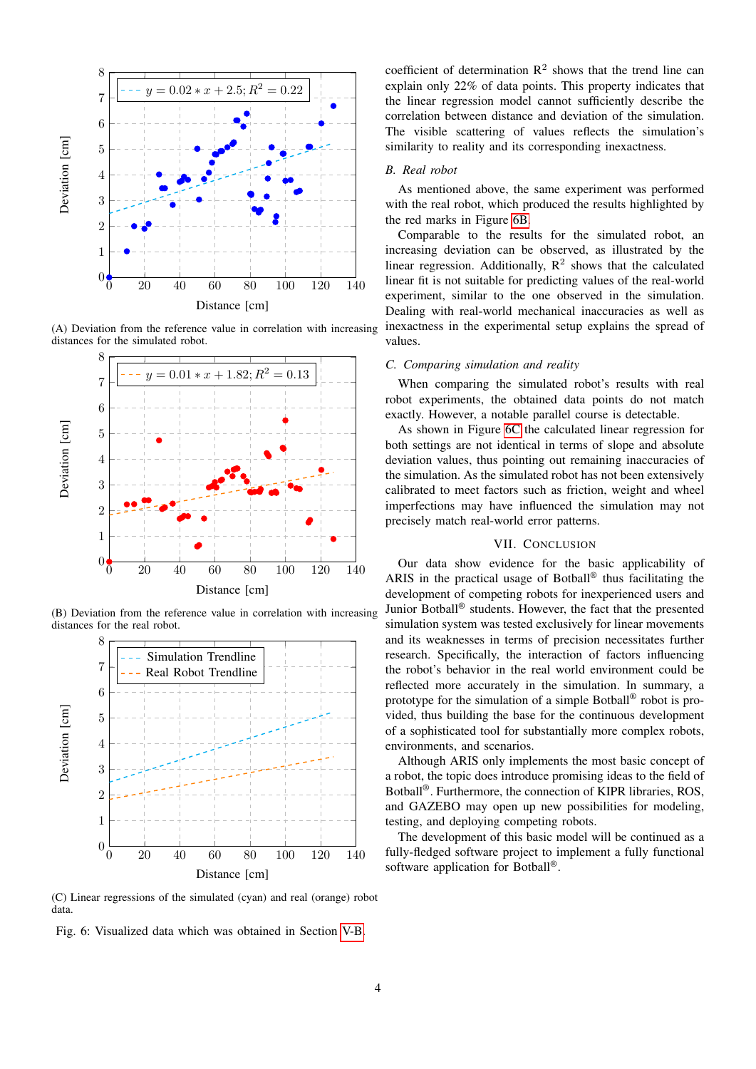<span id="page-3-0"></span>

(A) Deviation from the reference value in correlation with increasing distances for the simulated robot.



(B) Deviation from the reference value in correlation with increasing distances for the real robot.



(C) Linear regressions of the simulated (cyan) and real (orange) robot data.

Fig. 6: Visualized data which was obtained in Section [V-B.](#page-2-3)

coefficient of determination  $\mathbb{R}^2$  shows that the trend line can explain only 22% of data points. This property indicates that the linear regression model cannot sufficiently describe the correlation between distance and deviation of the simulation. The visible scattering of values reflects the simulation's similarity to reality and its corresponding inexactness.

#### *B. Real robot*

As mentioned above, the same experiment was performed with the real robot, which produced the results highlighted by the red marks in Figure [6B.](#page-3-0)

Comparable to the results for the simulated robot, an increasing deviation can be observed, as illustrated by the linear regression. Additionally,  $R^2$  shows that the calculated linear fit is not suitable for predicting values of the real-world experiment, similar to the one observed in the simulation. Dealing with real-world mechanical inaccuracies as well as inexactness in the experimental setup explains the spread of values.

#### *C. Comparing simulation and reality*

When comparing the simulated robot's results with real robot experiments, the obtained data points do not match exactly. However, a notable parallel course is detectable.

As shown in Figure [6C](#page-3-0) the calculated linear regression for both settings are not identical in terms of slope and absolute deviation values, thus pointing out remaining inaccuracies of the simulation. As the simulated robot has not been extensively calibrated to meet factors such as friction, weight and wheel imperfections may have influenced the simulation may not precisely match real-world error patterns.

## VII. CONCLUSION

Our data show evidence for the basic applicability of ARIS in the practical usage of Botball® thus facilitating the development of competing robots for inexperienced users and Junior Botball® students. However, the fact that the presented simulation system was tested exclusively for linear movements and its weaknesses in terms of precision necessitates further research. Specifically, the interaction of factors influencing the robot's behavior in the real world environment could be reflected more accurately in the simulation. In summary, a prototype for the simulation of a simple Botball® robot is provided, thus building the base for the continuous development of a sophisticated tool for substantially more complex robots, environments, and scenarios.

Although ARIS only implements the most basic concept of a robot, the topic does introduce promising ideas to the field of Botball®. Furthermore, the connection of KIPR libraries, ROS, and GAZEBO may open up new possibilities for modeling, testing, and deploying competing robots.

The development of this basic model will be continued as a fully-fledged software project to implement a fully functional software application for Botball®.